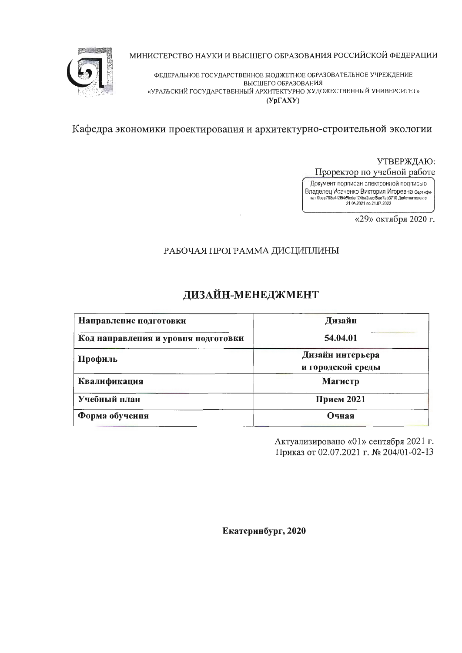

МИНИСТЕРСТВО НАУКИ И ВЫСШЕГО ОБРАЗОВАНИЯ РОССИЙСКОЙ ФЕДЕРАЦИИ

ФЕДЕРАЛЬНОЕ ГОСУДАРСТВЕННОЕ БЮДЖЕТНОЕ ОБРАЗОВАТЕЛЬНОЕ УЧРЕЖДЕНИЕ ВЫСШЕГО ОБРАЗОВАНИЯ «УРАЛЬСКИЙ ГОСУДАРСТВЕННЫЙ АРХИТЕКТУРНО-ХУДОЖЕСТВЕННЫЙ УНИВЕРСИТЕТ»  $(Yp\Gamma A XY)$ 

Кафедра экономики проектирования и архитектурно-строительной экологии

УТВЕРЖДАЮ: Проректор по учебной работе

Документ подписан электронной подписью Владелец Исаченко Виктория Игоревна сертификат 0bee798a412164d9cdeff24ba2aacf5ee7ab3710 действителен с 21.04.2021 no 21.07.2022

«29» октября 2020 г.

# РАБОЧАЯ ПРОГРАММА ДИСЦИПЛИНЫ

# ДИЗАЙН-МЕНЕДЖМЕНТ

| Направление подготовки              | Дизайн                                |
|-------------------------------------|---------------------------------------|
| Код направления и уровня подготовки | 54.04.01                              |
| Профиль                             | Дизайн интерьера<br>и городской среды |
| Квалификация                        | Магистр                               |
| Учебный план                        | Прием 2021                            |
| Форма обучения                      | Очная                                 |

Актуализировано «01» сентября 2021 г. Приказ от 02.07.2021 г. № 204/01-02-13

Екатеринбург, 2020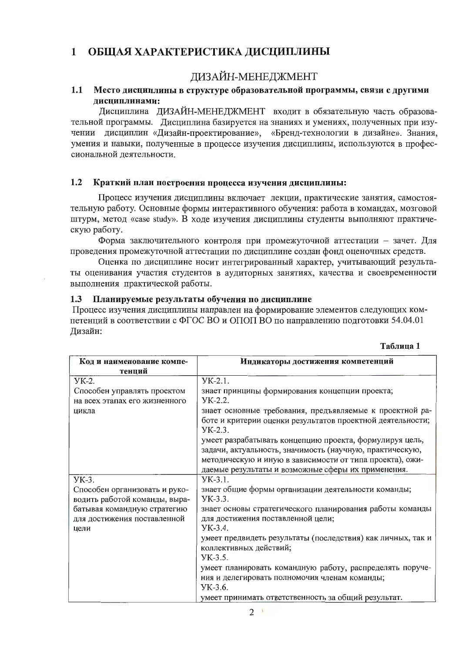#### ОБЩАЯ ХАРАКТЕРИСТИКА ДИСЦИПЛИНЫ  $\mathbf{1}$

# ДИЗАЙН-МЕНЕДЖМЕНТ

#### Место дисциплины в структуре образовательной программы, связи с другими  $1.1$ дисциплинами:

Дисциплина ДИЗАЙН-МЕНЕДЖМЕНТ входит в обязательную часть образовательной программы. Дисциплина базируется на знаниях и умениях, полученных при изучении дисциплин «Дизайн-проектирование», «Бренд-технологии в дизайне». Знания, умения и навыки, полученные в процессе изучения дисциплины, используются в профессиональной деятельности.

#### $1.2$ Краткий план построения процесса изучения дисциплины:

Процесс изучения дисциплины включает лекции, практические занятия, самостоятельную работу. Основные формы интерактивного обучения: работа в командах, мозговой штурм, метод «case study». В ходе изучения дисциплины студенты выполняют практическую работу.

Форма заключительного контроля при промежуточной аттестации - зачет. Для проведения промежуточной аттестации по дисциплине создан фонд оценочных средств.

Оценка по дисциплине носит интегрированный характер, учитывающий результаты оценивания участия студентов в аудиторных занятиях, качества и своевременности выполнения практической работы.

#### Планируемые результаты обучения по дисциплине  $1.3$

Процесс изучения дисциплины направлен на формирование элементов следующих компетенций в соответствии с ФГОС ВО и ОПОП ВО по направлению подготовки 54.04.01 Дизайн:

| Код и наименование компе-     | Индикаторы достижения компетенций                           |
|-------------------------------|-------------------------------------------------------------|
| тенций                        |                                                             |
| УК-2.                         | $YK-2.1$ .                                                  |
| Способен управлять проектом   | знает принципы формирования концепции проекта;              |
| на всех этапах его жизненного | YK-2.2.                                                     |
| цикла                         | знает основные требования, предъявляемые к проектной ра-    |
|                               | боте и критерии оценки результатов проектной деятельности:  |
|                               | $YK-2.3$ .                                                  |
|                               | умеет разрабатывать концепцию проекта, формулируя цель,     |
|                               | задачи, актуальность, значимость (научную, практическую,    |
|                               | методическую и иную в зависимости от типа проекта), ожи-    |
|                               | даемые результаты и возможные сферы их применения.          |
| УК-3.                         | YK-3.1.                                                     |
| Способен организовать и руко- | знает общие формы организации деятельности команды;         |
| водить работой команды, выра- | YK-3.3.                                                     |
| батывая командную стратегию   | знает основы стратегического планирования работы команды    |
| для достижения поставленной   | для достижения поставленной цели;                           |
| цели                          | YK-3.4.                                                     |
|                               | умеет предвидеть результаты (последствия) как личных, так и |
|                               | коллективных действий;                                      |
|                               | YK-3.5.                                                     |
|                               | умеет планировать командную работу, распределять поруче-    |
|                               | ния и делегировать полномочия членам команды;               |
|                               | YK-3.6.                                                     |
|                               | умеет принимать ответственность за общий результат.         |

Таблица 1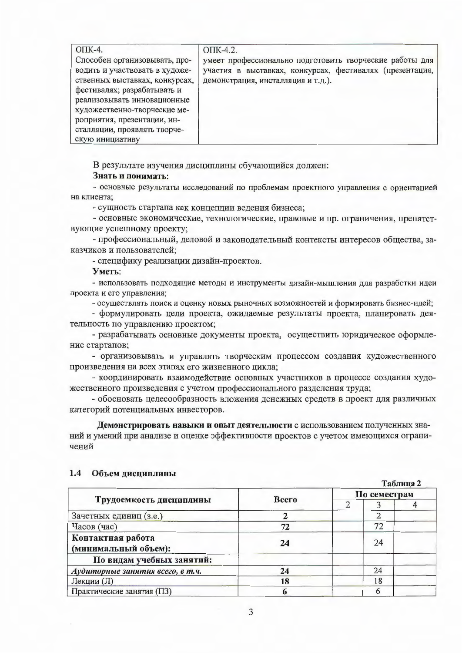| $OIIK-4.$                      | OTIK-4.2.                                                |
|--------------------------------|----------------------------------------------------------|
| Способен организовывать, про-  | умеет профессионально подготовить творческие работы для  |
| водить и участвовать в художе- | участия в выставках, конкурсах, фестивалях (презентация, |
| ственных выставках, конкурсах, | демонстрация, инсталляция и т.д.).                       |
| фестивалях; разрабатывать и    |                                                          |
| реализовывать инновационные    |                                                          |
| художественно-творческие ме-   |                                                          |
| роприятия, презентации, ин-    |                                                          |
| сталляции, проявлять творче-   |                                                          |
| скую инициативу                |                                                          |

В результате изучения дисциплины обучающийся должен:

#### Знать и понимать:

- основные результаты исследований по проблемам проектного управления с ориентацией на клиента;

- сущность стартапа как концепции ведения бизнеса;

- основные экономические, технологические, правовые и пр. ограничения, препятствующие успешному проекту;

- профессиональный, деловой и законодательный контексты интересов общества, заказчиков и пользователей:

- специфику реализации дизайн-проектов.

Уметь:

- использовать подходящие методы и инструменты дизайн-мышления для разработки идеи проекта и его управления;

- осуществлять поиск и оценку новых рыночных возможностей и формировать бизнес-идей;

- формулировать цели проекта, ожидаемые результаты проекта, планировать деятельность по управлению проектом;

- разрабатывать основные документы проекта, осуществить юридическое оформление стартапов;

- организовывать и управлять творческим процессом создания художественного произведения на всех этапах его жизненного цикла;

- координировать взаимодействие основных участников в процессе создания художественного произведения с учетом профессионального разделения труда;

- обосновать целесообразность вложения денежных средств в проект для различных категорий потенциальных инвесторов.

Демонстрировать навыки и опыт деятельности с использованием полученных знаний и умений при анализе и оценке эффективности проектов с учетом имеющихся ограничений

|                                           |              |              |    | Таблица 2 |  |  |
|-------------------------------------------|--------------|--------------|----|-----------|--|--|
|                                           |              | По семестрам |    |           |  |  |
| Трудоемкость дисциплины                   | <b>Bcero</b> |              |    |           |  |  |
| Зачетных единиц (з.е.)                    |              |              |    |           |  |  |
| Часов (час)                               | 72           |              | 72 |           |  |  |
| Контактная работа<br>(минимальный объем): | 24           |              | 24 |           |  |  |
| По видам учебных занятий:                 |              |              |    |           |  |  |
| Аудиторные занятия всего, в т.ч.          | 24           |              | 24 |           |  |  |
| Лекции (Л)                                | 18           |              | 18 |           |  |  |
| Практические занятия (ПЗ)                 |              |              |    |           |  |  |

#### 1.4 Объем дисциплины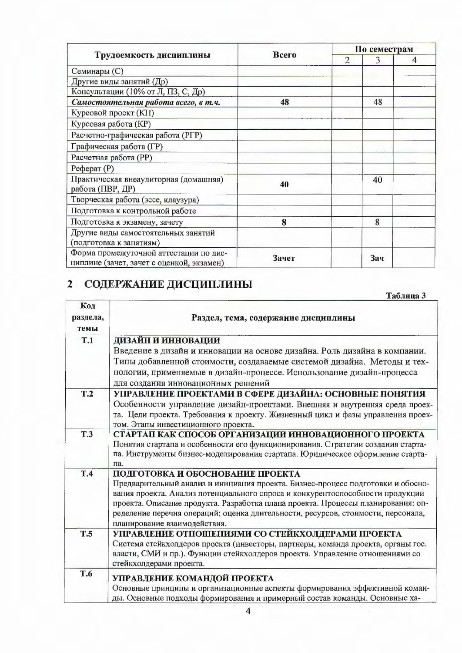|                                                                                     |       | По семестрам |     |   |  |  |
|-------------------------------------------------------------------------------------|-------|--------------|-----|---|--|--|
| Трудоемкость дисциплины                                                             | Всего | 2            | 3   | 4 |  |  |
| Семинары (С)                                                                        |       |              |     |   |  |  |
| Другие виды занятий (Др)                                                            |       |              |     |   |  |  |
| Консультации (10% от Л, ПЗ, С, Др)                                                  |       |              |     |   |  |  |
| Самостоятельная работа всего, в т.ч.                                                | 48    |              | 48  |   |  |  |
| Курсовой проект (КП)                                                                |       |              |     |   |  |  |
| Курсовая работа (KP)                                                                |       |              |     |   |  |  |
| Расчетно-графическая работа (РГР)                                                   |       |              |     |   |  |  |
| Графическая работа (ГР)                                                             |       |              |     |   |  |  |
| Расчетная работа (PP)                                                               |       |              |     |   |  |  |
| Реферат $(P)$                                                                       |       |              |     |   |  |  |
| Практическая внеаудиторная (домашняя)<br>работа (ПВР, ДР)                           | 40    |              | 40  |   |  |  |
| Творческая работа (эссе, клаузура)                                                  |       |              |     |   |  |  |
| Подготовка к контрольной работе                                                     |       |              |     |   |  |  |
| Подготовка к экзамену, зачету                                                       | 8     |              | 8   |   |  |  |
| Другие виды самостоятельных занятий                                                 |       |              |     |   |  |  |
| (подготовка к занятиям)                                                             |       |              |     |   |  |  |
| Форма промежуточной аттестации по дис-<br>циплине (зачет, зачет с оценкой, экзамен) | Зачет |              | Зач |   |  |  |

# 2 СОДЕРЖАНИЕ ДИСЦИПЛИНЫ

Таблица 3

 $\overline{\phantom{a}}$ 

| Код<br>раздела,<br>темы | Раздел, тема, содержание дисциплины                                                                                                                              |  |  |  |  |  |
|-------------------------|------------------------------------------------------------------------------------------------------------------------------------------------------------------|--|--|--|--|--|
| T.1                     | ДИЗАЙН И ИННОВАЦИИ                                                                                                                                               |  |  |  |  |  |
|                         | Введение в дизайн и инновации на основе дизайна. Роль дизайна в компании.                                                                                        |  |  |  |  |  |
|                         | Типы добавленной стоимости, создаваемые системой дизайна. Методы и тех-                                                                                          |  |  |  |  |  |
|                         | нологии, применяемые в дизайн-процессе. Использование дизайн-процесса                                                                                            |  |  |  |  |  |
|                         | для создания инновационных решений                                                                                                                               |  |  |  |  |  |
| T.2                     | УПРАВЛЕНИЕ ПРОЕКТАМИ В СФЕРЕ ДИЗАЙНА: ОСНОВНЫЕ ПОНЯТИЯ                                                                                                           |  |  |  |  |  |
|                         | Особенности управление дизайн-проектами. Внешняя и внутренняя среда проек-                                                                                       |  |  |  |  |  |
|                         | та. Цели проекта. Требования к проекту. Жизненный цикл и фазы управления проек-                                                                                  |  |  |  |  |  |
|                         | том. Этапы инвестиционного проекта.                                                                                                                              |  |  |  |  |  |
| <b>T.3</b>              | СТАРТАП КАК СПОСОБ ОРГАНИЗАЦИИ ИННОВАЦИОННОГО ПРОЕКТА                                                                                                            |  |  |  |  |  |
|                         | Понятия стартапа и особенности его функционирования. Стратегии создания старта-                                                                                  |  |  |  |  |  |
|                         | па. Инструменты бизнес-моделирования стартапа. Юридическое оформление старта-                                                                                    |  |  |  |  |  |
|                         | па.                                                                                                                                                              |  |  |  |  |  |
| T.4                     | ПОДГОТОВКА И ОБОСНОВАНИЕ ПРОЕКТА                                                                                                                                 |  |  |  |  |  |
|                         | Предварительный анализ и инициация проекта. Бизнес-процесс подготовки и обосно-<br>вания проекта. Анализ потенциального спроса и конкурентоспособности продукции |  |  |  |  |  |
|                         | проекта. Описание продукта. Разработка плана проекта. Процессы планирования: оп-                                                                                 |  |  |  |  |  |
|                         | ределение перечня операций; оценка длительности, ресурсов, стоимости, персонала,                                                                                 |  |  |  |  |  |
|                         | планирование взаимодействия.                                                                                                                                     |  |  |  |  |  |
| <b>T.5</b>              | УПРАВЛЕНИЕ ОТНОШЕНИЯМИ СО СТЕЙКХОЛДЕРАМИ ПРОЕКТА                                                                                                                 |  |  |  |  |  |
|                         | Система стейкхолдеров проекта (инвесторы, партнеры, команда проекта, органы гос.                                                                                 |  |  |  |  |  |
|                         | власти, СМИ и пр.). Функции стейкхолдеров проекта. Управление отношениями со                                                                                     |  |  |  |  |  |
|                         | стейкхолдерами проекта.                                                                                                                                          |  |  |  |  |  |
| <b>T.6</b>              |                                                                                                                                                                  |  |  |  |  |  |
|                         | УПРАВЛЕНИЕ КОМАНДОЙ ПРОЕКТА                                                                                                                                      |  |  |  |  |  |
|                         | Основные принципы и организационные аспекты формирования эффективной коман-<br>лы. Основные полхолы формирования и примерный состав команлы. Основные ха-        |  |  |  |  |  |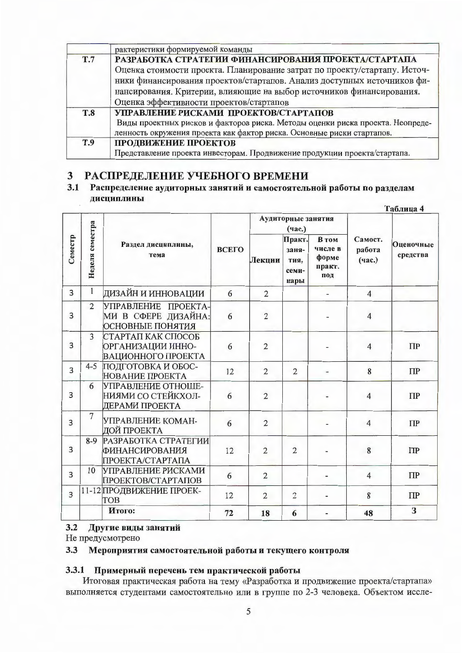|            | рактеристики формируемой команды                                               |
|------------|--------------------------------------------------------------------------------|
| <b>T.7</b> | РАЗРАБОТКА СТРАТЕГИИ ФИНАНСИРОВАНИЯ ПРОЕКТА/СТАРТАПА                           |
|            | Оценка стоимости проекта. Планирование затрат по проекту/стартапу. Источ-      |
|            | ники финансирования проектов/стартапов. Анализ доступных источников фи-        |
|            | нансирования. Критерии, влияющие на выбор источников финансирования.           |
|            | Оценка эффективности проектов/стартапов                                        |
| <b>T.8</b> | УПРАВЛЕНИЕ РИСКАМИ ПРОЕКТОВ/СТАРТАПОВ                                          |
|            | Виды проектных рисков и факторов риска. Методы оценки риска проекта. Неопреде- |
|            | ленность окружения проекта как фактор риска. Основные риски стартапов.         |
| <b>T.9</b> | ПРОДВИЖЕНИЕ ПРОЕКТОВ                                                           |
|            | Представление проекта инвесторам. Продвижение продукции проекта/стартапа.      |

# 3 РАСПРЕДЕЛЕНИЕ УЧЕБНОГО ВРЕМЕНИ

#### $3.1$ Распределение аудиторных занятий и самостоятельной работы по разделам дисциплины  $To6 = 4$

|                |                                               |                                                                       |        |                                          |                                            |                             |                       | 1 амет <i>к</i> а т |
|----------------|-----------------------------------------------|-----------------------------------------------------------------------|--------|------------------------------------------|--------------------------------------------|-----------------------------|-----------------------|---------------------|
|                |                                               |                                                                       |        |                                          | Аудиторные занятия<br>(час.)               |                             |                       |                     |
| Семестр        | Неделя семестра<br>Раздел дисциплины,<br>тема | ВСЕГО                                                                 | Лекции | Практ.<br>заня-<br>тия.<br>семи-<br>нары | В том<br>числе в<br>форме<br>практ.<br>под | Самост.<br>работа<br>(час.) | Оценочные<br>средства |                     |
| 3              | $\mathbf{1}$                                  | ДИЗАЙН И ИННОВАЦИИ                                                    | 6      | $\overline{2}$                           |                                            |                             | $\overline{4}$        |                     |
| 3              | $\overline{2}$                                | УПРАВЛЕНИЕ ПРОЕКТА-<br>МИ В СФЕРЕ ДИЗАЙНА:<br><b>ОСНОВНЫЕ ПОНЯТИЯ</b> | 6      | $\overline{2}$                           |                                            |                             | $\overline{4}$        |                     |
| 3              | 3                                             | СТАРТАП КАК СПОСОБ<br>ОРГАНИЗАЦИИ ИННО-<br>ВАЦИОННОГО ПРОЕКТА         | 6      | $\overline{2}$                           |                                            |                             | $\overline{4}$        | $\Pi$ P             |
| 3              | $4 - 5$                                       | ПОДГОТОВКА И ОБОС-<br>НОВАНИЕ ПРОЕКТА                                 | 12     | $\overline{2}$                           | $\overline{2}$                             |                             | 8                     | $\Pi$ P             |
| 3              | 6                                             | УПРАВЛЕНИЕ ОТНОШЕ-<br>НИЯМИ СО СТЕЙКХОЛ-<br>ДЕРАМИ ПРОЕКТА            | 6      | $\overline{2}$                           |                                            |                             | $\overline{4}$        | $\Pi$ P             |
| 3              | $\overline{7}$                                | УПРАВЛЕНИЕ КОМАН-<br>ДОЙ ПРОЕКТА                                      | 6      | $\overline{2}$                           |                                            |                             | $\overline{4}$        | $\Pi$               |
| $\overline{3}$ | $8-9$                                         | РАЗРАБОТКА СТРАТЕГИИ<br><b>ФИНАНСИРОВАНИЯ</b><br>ΠΡΟΕΚΤΑ/ΣΤΑΡΤΑΠΑ     | 12     | $\overline{2}$                           | $\overline{2}$                             |                             | 8                     | $\Pi$               |
| $\overline{3}$ | 10                                            | УПРАВЛЕНИЕ РИСКАМИ<br><b>ПРОЕКТОВ/СТАРТАПОВ</b>                       | 6      | $\overline{2}$                           |                                            |                             | $\overline{4}$        | $\Pi$               |
| $\overline{3}$ |                                               | 11-12 ПРОДВИЖЕНИЕ ПРОЕК-<br><b>TOB</b>                                | 12     | $\overline{2}$                           | $\overline{2}$                             |                             | 8                     | $\Pi$               |
|                |                                               | Итого:                                                                | 72     | 18                                       | 6                                          |                             | 48                    | 3                   |

# 3.2 Другие виды занятий

Не предусмотрено

### 3.3 Мероприятия самостоятельной работы и текущего контроля

### 3.3.1 Примерный перечень тем практической работы

Итоговая практическая работа на тему «Разработка и продвижение проекта/стартапа» выполняется студентами самостоятельно или в группе по 2-3 человека. Объектом иссле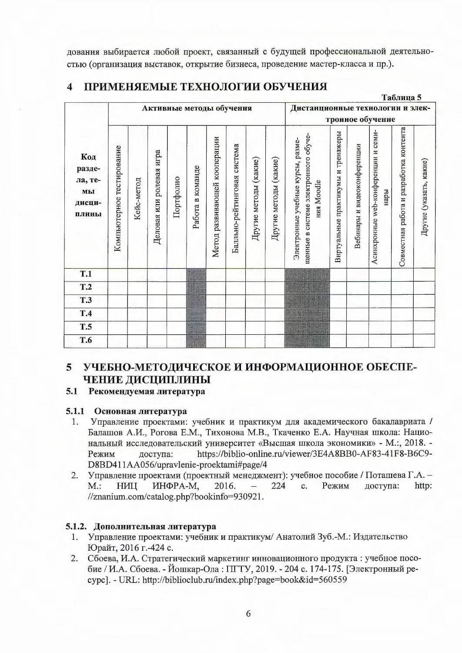дования выбирается любой проект, связанный с будущей профессиональной деятельностью (организация выставок, открытие бизнеса, проведение мастер-класса и пр.).

 $\mathbf{r}$   $\mathbf{r}$ 

|  | 4 ПРИМЕНЯЕМЫЕ ТЕХНОЛОГИИ ОБУЧЕНИЯ |  |  |
|--|-----------------------------------|--|--|
|--|-----------------------------------|--|--|

|                                                   |                           |            |                          |           |                          |                              |                             |                       |                       |                                                                                         |                                    |                             |                                             | таолица э                               |                         |
|---------------------------------------------------|---------------------------|------------|--------------------------|-----------|--------------------------|------------------------------|-----------------------------|-----------------------|-----------------------|-----------------------------------------------------------------------------------------|------------------------------------|-----------------------------|---------------------------------------------|-----------------------------------------|-------------------------|
|                                                   |                           |            |                          |           | Активные методы обучения |                              |                             |                       |                       | Дистанционные технологии и элек-                                                        |                                    |                             |                                             |                                         |                         |
|                                                   |                           |            |                          |           |                          |                              |                             |                       |                       |                                                                                         |                                    |                             | тронное обучение                            |                                         |                         |
| Код<br>разде-<br>ла, те-<br>МЫ<br>дисци-<br>плины | Компьютерное тестирование | Кейс-метод | Деловая или ролевая игра | Портфолио | Работа в команде         | Метод развивающей кооперации | Балльно-рейтинговая система | Другие методы (какие) | Другие методы (какие) | щенные в системе электронного обуче-<br>Электронные учебные курсы, разме-<br>ния Moodle | Виртуальные практикумы и тренажеры | Вебинары и видеоконференции | Асинхронные web-конференции и семи-<br>нары | Совместная работа и разработка контента | Другие (указать, какие) |
| <b>T.1</b>                                        |                           |            |                          |           |                          |                              |                             |                       |                       |                                                                                         |                                    |                             |                                             |                                         |                         |
| T.2                                               |                           |            |                          |           |                          |                              |                             |                       |                       |                                                                                         |                                    |                             |                                             |                                         |                         |
| <b>T.3</b>                                        |                           |            |                          |           |                          |                              |                             |                       |                       |                                                                                         |                                    |                             |                                             |                                         |                         |
| T.4                                               |                           |            |                          |           |                          |                              |                             |                       |                       |                                                                                         |                                    |                             |                                             |                                         |                         |
| <b>T.5</b>                                        |                           |            |                          |           |                          |                              |                             |                       |                       |                                                                                         |                                    |                             |                                             |                                         |                         |
| T.6                                               |                           |            |                          |           |                          |                              |                             |                       |                       |                                                                                         |                                    |                             |                                             |                                         |                         |
|                                                   |                           |            |                          |           |                          |                              |                             |                       |                       |                                                                                         |                                    |                             |                                             |                                         |                         |

#### УЧЕБНО-МЕТОДИЧЕСКОЕ И ИНФОРМАЦИОННОЕ ОБЕСПЕ- $5<sup>5</sup>$ ЧЕНИЕ ДИСЦИПЛИНЫ

# 5.1 Рекомендуемая литература

# 5.1.1 Основная литература

- Управление проектами: учебник и практикум для академического бакалавриата / 1. Балашов А.И., Рогова Е.М., Тихонова М.В., Ткаченко Е.А. Научная школа: Национальный исследовательский университет «Высшая школа экономики» - М.:, 2018. https://biblio-online.ru/viewer/3E4A8BB0-AF83-41F8-B6C9-Режим доступа: D8BD411AA056/upravlenie-proektami#page/4
- 2. Управление проектами (проектный менеджмент): учебное пособие / Поташева Г.А. -ИНФРА-М, 224  $c.$ Режим доступа: http:  $M$ .: НИЦ 2016.  $\qquad \qquad -$ //znanium.com/catalog.php?bookinfo=930921.

# 5.1.2. Дополнительная литература

- Управление проектами: учебник и практикум/ Анатолий Зуб.-М.: Издательство 1. Юрайт, 2016 г.-424 с.
- 2. Сбоева, И.А. Стратегический маркетинг инновационного продукта: учебное пособие / И.А. Сбоева. - Йошкар-Ола: ПГТУ, 2019. - 204 с. 174-175. [Электронный реcypc]. - URL: http://biblioclub.ru/index.php?page=book&id=560559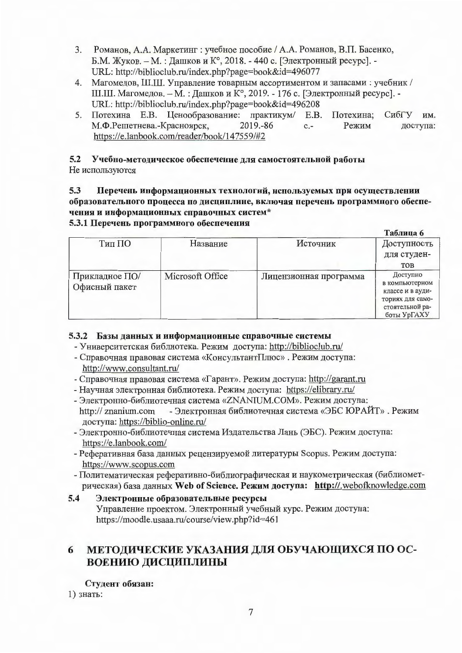- Романов, А.А. Маркетинг: учебное пособие / А.А. Романов, В.П. Басенко, 3. Б.М. Жуков. - М.: Дашков и К°, 2018. - 440 с. [Электронный ресурс]. -URL: http://biblioclub.ru/index.php?page=book&id=496077
- 4. Магомедов, Ш.Ш. Управление товарным ассортиментом и запасами: учебник / Ш.Ш. Магомедов. - М. : Дашков и К°, 2019. - 176 с. [Электронный ресурс]. -URL: http://biblioclub.ru/index.php?page=book&id=496208
- Потехина Е.В. Ценообразование: практикум/ 5.  $E.B.$ Потехина: СибГУ им. М.Ф.Решетнева.-Красноярск, 2019.-86  $c -$ Режим доступа: https://e.lanbook.com/reader/book/147559/#2

#### Учебно-методическое обеспечение для самостоятельной работы  $5.2$ Не используются

 $5.3$ Перечень информационных технологий, используемых при осуществлении образовательного процесса по дисциплине, включая перечень программного обеспечения и информационных справочных систем\*

# 5.3.1 Перечень программного обеспечения

|                |                  |                        | Таблица 6        |
|----------------|------------------|------------------------|------------------|
| Тип ПО         | Название         | Источник               | Доступность      |
|                |                  |                        | для студен-      |
|                |                  |                        | <b>TOB</b>       |
| Прикладное ПО/ | Microsoft Office | Лицензионная программа | Доступно         |
| Офисный пакет  |                  |                        | в компьютерном   |
|                |                  |                        | классе и в ауди- |
|                |                  |                        | ториях для само- |
|                |                  |                        | стоятельной ра-  |
|                |                  |                        | боты УрГАХУ      |

# 5.3.2 Базы данных и информационные справочные системы

- Университетская библиотека. Режим доступа: http://biblioclub.ru/
- Справочная правовая система «КонсультантПлюс». Режим доступа: http://www.consultant.ru/
- Справочная правовая система «Гарант». Режим доступа: http://garant.ru
- Научная электронная библиотека. Режим доступа: https://elibrary.ru/
- Электронно-библиотечная система «ZNANIUM.COM». Режим доступа: http:// znanium.com - Электронная библиотечная система «ЭБС ЮРАЙТ». Режим доступа: https://biblio-online.ru/
- Электронно-библиотечная система Издательства Лань (ЭБС). Режим доступа: https://e.lanbook.com/
- Реферативная база данных рецензируемой литературы Scopus. Режим доступа: https://www.scopus.com
- Политематическая реферативно-библиографическая и наукометрическая (библиометрическая) база данных Web of Science. Режим доступа: http://.webofknowledge.com

#### $5.4$ Электронные образовательные ресурсы Управление проектом. Электронный учебный курс. Режим доступа: https://moodle.usaaa.ru/course/view.php?id=461

#### МЕТОДИЧЕСКИЕ УКАЗАНИЯ ДЛЯ ОБУЧАЮЩИХСЯ ПО ОС-6 ВОЕНИЮ ДИСЦИПЛИНЫ

Студент обязан:

 $1)$  знать: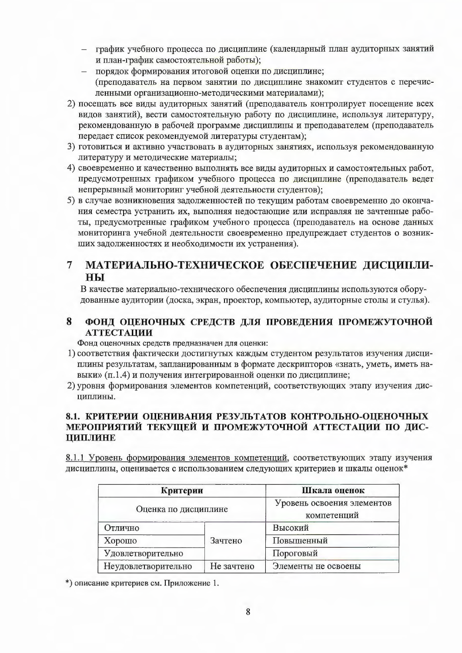- график учебного процесса по дисциплине (календарный план аудиторных занятий и план-график самостоятельной работы);
- порядок формирования итоговой оценки по дисциплине; (преподаватель на первом занятии по дисциплине знакомит студентов с перечисленными организационно-методическими материалами);
- 2) посещать все виды аудиторных занятий (преподаватель контролирует посещение всех видов занятий), вести самостоятельную работу по дисциплине, используя литературу, рекомендованную в рабочей программе дисциплины и преподавателем (преподаватель передает список рекомендуемой литературы студентам);
- 3) готовиться и активно участвовать в аудиторных занятиях, используя рекомендованную литературу и методические материалы;
- 4) своевременно и качественно выполнять все виды аудиторных и самостоятельных работ, предусмотренных графиком учебного процесса по дисциплине (преподаватель ведет непрерывный мониторинг учебной деятельности студентов);
- 5) в случае возникновения задолженностей по текущим работам своевременно до окончания семестра устранить их, выполняя недостающие или исправляя не зачтенные работы, предусмотренные графиком учебного процесса (преподаватель на основе данных мониторинга учебной деятельности своевременно предупреждает студентов о возникших задолженностях и необходимости их устранения).

#### $\overline{7}$ МАТЕРИАЛЬНО-ТЕХНИЧЕСКОЕ ОБЕСПЕЧЕНИЕ ДИСЦИПЛИ-HЫ

В качестве материально-технического обеспечения дисциплины используются оборудованные аудитории (доска, экран, проектор, компьютер, аудиторные столы и стулья).

#### 8 ФОНД ОЦЕНОЧНЫХ СРЕДСТВ ДЛЯ ПРОВЕДЕНИЯ ПРОМЕЖУТОЧНОЙ **АТТЕСТАЦИИ**

Фонд оценочных средств предназначен для оценки:

- 1) соответствия фактически достигнутых каждым студентом результатов изучения дисциплины результатам, запланированным в формате дескрипторов «знать, уметь, иметь навыки» (п.1.4) и получения интегрированной оценки по дисциплине;
- 2) уровня формирования элементов компетенций, соответствующих этапу изучения дисциплины.

# 8.1. КРИТЕРИИ ОЦЕНИВАНИЯ РЕЗУЛЬТАТОВ КОНТРОЛЬНО-ОЦЕНОЧНЫХ МЕРОПРИЯТИЙ ТЕКУЩЕЙ И ПРОМЕЖУТОЧНОЙ АТТЕСТАЦИИ ПО ДИС-ЦИПЛИНЕ

8.1.1 Уровень формирования элементов компетенций, соответствующих этапу изучения дисциплины, оценивается с использованием следующих критериев и шкалы оценок\*

| Критерии             |            | Шкала оценок                              |  |  |
|----------------------|------------|-------------------------------------------|--|--|
| Оценка по дисциплине |            | Уровень освоения элементов<br>компетенций |  |  |
| Отлично              |            | Высокий                                   |  |  |
| Хорошо               | Зачтено    | Повышенный                                |  |  |
| Удовлетворительно    |            | Пороговый                                 |  |  |
| Неудовлетворительно  | Не зачтено | Элементы не освоены                       |  |  |

\*) описание критериев см. Приложение 1.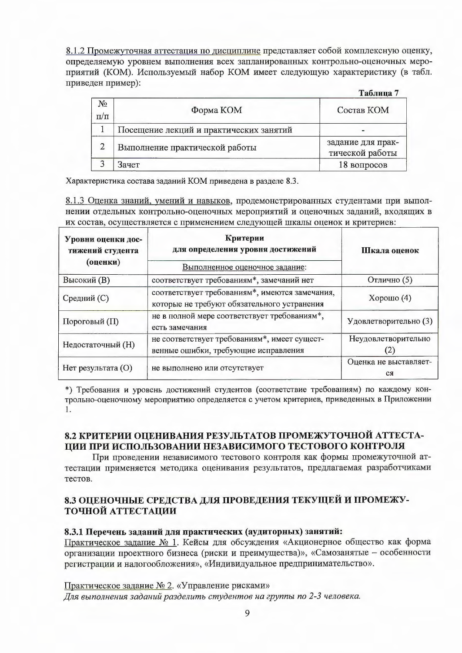8.1.2 Промежуточная аттестация по дисциплине представляет собой комплексную оценку, определяемую уровнем выполнения всех запланированных контрольно-оценочных мероприятий (КОМ). Используемый набор КОМ имеет следующую характеристику (в табл. приведен пример):

|                    |                                         | Таблица 7                            |
|--------------------|-----------------------------------------|--------------------------------------|
| $N_2$<br>$\Pi/\Pi$ | Форма КОМ                               | Состав КОМ                           |
|                    | Посещение лекций и практических занятий | -                                    |
| 2                  | Выполнение практической работы          | задание для прак-<br>тической работы |
| $\bigcap$          | Зачет                                   | 18 вопросов                          |

Характеристика состава заданий КОМ приведена в разделе 8.3.

8.1.3 Оценка знаний, умений и навыков, продемонстрированных студентами при выполнении отдельных контрольно-оценочных мероприятий и оценочных заданий, входящих в их состав, осуществляется с применением следующей шкалы оценок и критериев:

| Уровни оценки дос-<br>тижений студента<br>(оценки) | Критерии<br>для определения уровня достижений<br>Выполненное оценочное задание:               | Шкала оценок                |  |
|----------------------------------------------------|-----------------------------------------------------------------------------------------------|-----------------------------|--|
| <b>Высокий</b> (B)                                 | соответствует требованиям*, замечаний нет                                                     | Отлично (5)                 |  |
| Средний (С)                                        | соответствует требованиям*, имеются замечания,<br>которые не требуют обязательного устранения | Хорошо $(4)$                |  |
| Пороговый (П)                                      | не в полной мере соответствует требованиям*,<br>есть замечания                                | Удовлетворительно (3)       |  |
| Недостаточный (Н)                                  | не соответствует требованиям*, имеет сущест-<br>венные ошибки, требующие исправления          | Неудовлетворительно<br>(2)  |  |
| Нет результата (О)                                 | не выполнено или отсутствует                                                                  | Оценка не выставляет-<br>CЯ |  |

\*) Требования и уровень достижений студентов (соответствие требованиям) по каждому контрольно-оценочному мероприятию определяется с учетом критериев, приведенных в Приложении  $\mathbf{1}$ .

# 8.2 КРИТЕРИИ ОЦЕНИВАНИЯ РЕЗУЛЬТАТОВ ПРОМЕЖУТОЧНОЙ АТТЕСТА-ЦИИ ПРИ ИСПОЛЬЗОВАНИИ НЕЗАВИСИМОГО ТЕСТОВОГО КОНТРОЛЯ

При проведении независимого тестового контроля как формы промежуточной аттестации применяется методика оценивания результатов, предлагаемая разработчиками тестов.

# 8.3 ОЦЕНОЧНЫЕ СРЕДСТВА ДЛЯ ПРОВЕДЕНИЯ ТЕКУЩЕЙ И ПРОМЕЖУ-ТОЧНОЙ АТТЕСТАЦИИ

### 8.3.1 Перечень заданий для практических (аудиторных) занятий:

Практическое задание № 1. Кейсы для обсуждения «Акционерное общество как форма организации проектного бизнеса (риски и преимущества)», «Самозанятые - особенности регистрации и налогообложения», «Индивидуальное предпринимательство».

Практическое задание № 2. «Управление рисками»

Для выполнения заданий разделить студентов на группы по 2-3 человека.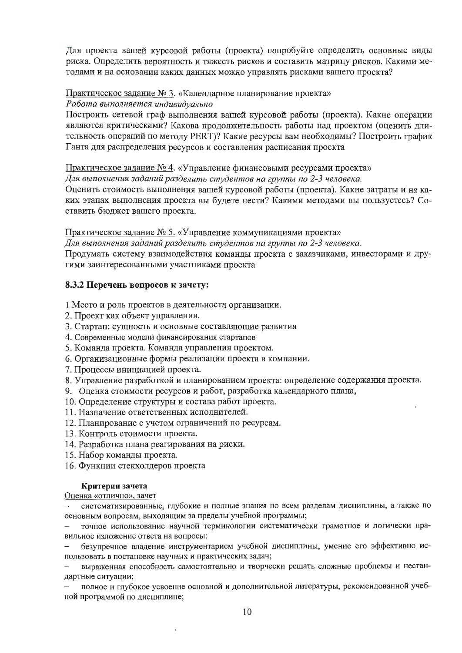Для проекта вашей курсовой работы (проекта) попробуйте определить основные виды риска. Определить вероятность и тяжесть рисков и составить матрицу рисков. Какими методами и на основании каких данных можно управлять рисками вашего проекта?

Практическое задание № 3. «Календарное планирование проекта» Работа выполняется индивидуально

Построить сетевой граф выполнения вашей курсовой работы (проекта). Какие операции являются критическими? Какова продолжительность работы над проектом (оценить длительность операций по методу PERT)? Какие ресурсы вам необходимы? Построить график Ганта для распределения ресурсов и составления расписания проекта

Практическое задание № 4. «Управление финансовыми ресурсами проекта»

Для выполнения заданий разделить студентов на группы по 2-3 человека.

Оценить стоимость выполнения вашей курсовой работы (проекта). Какие затраты и на каких этапах выполнения проекта вы будете нести? Какими методами вы пользуетесь? Составить бюджет вашего проекта.

Практическое задание № 5. «Управление коммуникациями проекта»

Для выполнения заданий разделить студентов на группы по 2-3 человека.

Продумать систему взаимодействия команды проекта с заказчиками, инвесторами и другими заинтересованными участниками проекта

### 8.3.2 Перечень вопросов к зачету:

1 Место и роль проектов в деятельности организации.

- 2. Проект как объект управления.
- 3. Стартап: сущность и основные составляющие развития
- 4. Современные модели финансирования стартапов
- 5. Команда проекта. Команда управления проектом.
- 6. Организационные формы реализации проекта в компании.
- 7. Процессы инициацией проекта.
- 8. Управление разработкой и планированием проекта: определение содержания проекта.
- 9. Оценка стоимости ресурсов и работ, разработка календарного плана,
- 10. Определение структуры и состава работ проекта.
- 11. Назначение ответственных исполнителей.
- 12. Планирование с учетом ограничений по ресурсам.
- 13. Контроль стоимости проекта.
- 14. Разработка плана реагирования на риски.
- 15. Набор команды проекта.
- 16. Функции стекхолдеров проекта

#### Критерии зачета

<u>Оценка «отлично», зачет</u>

систематизированные, глубокие и полные знания по всем разделам дисциплины, а также по основным вопросам, выходящим за пределы учебной программы;

точное использование научной терминологии систематически грамотное и логически правильное изложение ответа на вопросы;

безупречное владение инструментарием учебной дисциплины, умение его эффективно использовать в постановке научных и практических задач;

выраженная способность самостоятельно и творчески решать сложные проблемы и нестандартные ситуации;

полное и глубокое усвоение основной и дополнительной литературы, рекомендованной учебной программой по дисциплине;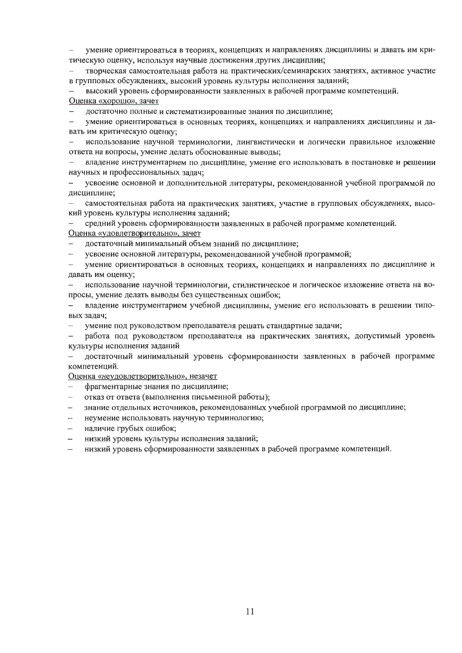умение ориентироваться в теориях, концепциях и направлениях дисциплины и давать им критическую оценку, используя научные достижения других дисциплин;

творческая самостоятельная работа на практических/семинарских занятиях, активное участие в групповых обсуждениях, высокий уровень культуры исполнения заданий;

высокий уровень сформированности заявленных в рабочей программе компетенций. Оценка «хорошо», зачет

достаточно полные и систематизированные знания по дисциплине;

умение ориентироваться в основных теориях, концепциях и направлениях дисциплины и давать им критическую оценку;

использование научной терминологии, лингвистически и логически правильное изложение ответа на вопросы, умение делать обоснованные выводы;

владение инструментарием по дисциплине, умение его использовать в постановке и рещении научных и профессиональных задач;

усвоение основной и дополнительной литературы, рекомендованной учебной программой по дисциплине;

самостоятельная работа на практических занятиях, участие в групповых обсуждениях, высокий уровень культуры исполнения заданий;

средний уровень сформированности заявленных в рабочей программе компетенций. Оценка «удовлетворительно», зачет

достаточный минимальный объем знаний по дисциплине;

усвоение основной литературы, рекомендованной учебной программой;  $\overline{\phantom{0}}$ 

умение ориентироваться в основных теориях, концепциях и направлениях по дисциплине и давать им оценку;

использование научной терминологии, стилистическое и логическое изложение ответа на вопросы, умение делать выводы без существенных ошибок;

владение инструментарием учебной дисциплины, умение его использовать в решении типовых задач;

умение под руководством преподавателя решать стандартные задачи;

работа под руководством преподавателя на практических занятиях, допустимый уровень культуры исполнения заданий

достаточный минимальный уровень сформированности заявленных в рабочей программе компетенций.

Оценка «неудовлетворительно», незачет

- фрагментарные знания по дисциплине;
- отказ от ответа (выполнения письменной работы);
- знание отдельных источников, рекомендованных учебной программой по дисциплине;  $-$
- неумение использовать научную терминологию;
- наличие грубых ошибок;
- низкий уровень культуры исполнения заданий;
- низкий уровень сформированности заявленных в рабочей программе компетенций.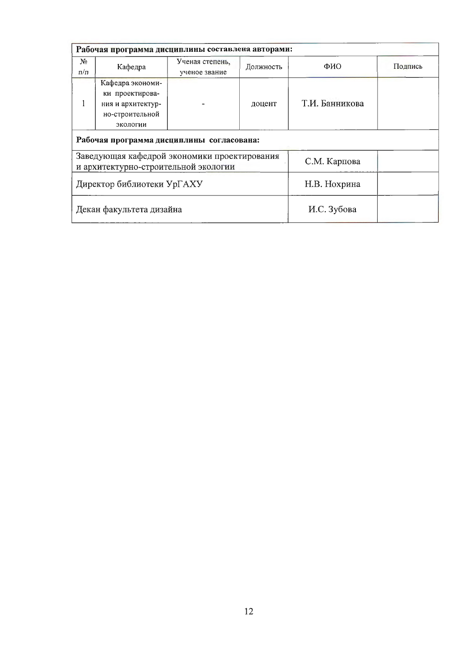| Рабочая программа дисциплины составлена авторами:                                    |                   |                 |              |                |         |  |  |
|--------------------------------------------------------------------------------------|-------------------|-----------------|--------------|----------------|---------|--|--|
| N <sub>2</sub>                                                                       | Кафедра           | Ученая степень, | Должность    | ФИО            | Подпись |  |  |
| $\pi/\pi$                                                                            |                   | ученое звание   |              |                |         |  |  |
|                                                                                      | Кафедра экономи-  |                 | доцент       |                |         |  |  |
|                                                                                      | ки проектирова-   |                 |              | Т.И. Банникова |         |  |  |
|                                                                                      | ния и архитектур- |                 |              |                |         |  |  |
|                                                                                      | но-строительной   |                 |              |                |         |  |  |
|                                                                                      | экологии          |                 |              |                |         |  |  |
| Рабочая программа дисциплины согласована:                                            |                   |                 |              |                |         |  |  |
| Заведующая кафедрой экономики проектирования<br>и архитектурно-строительной экологии |                   |                 |              | С.М. Карпова   |         |  |  |
| Директор библиотеки Ур $\Gamma$ АХУ                                                  |                   |                 | Н.В. Нохрина |                |         |  |  |
| Декан факультета дизайна                                                             |                   |                 | И.С. Зубова  |                |         |  |  |